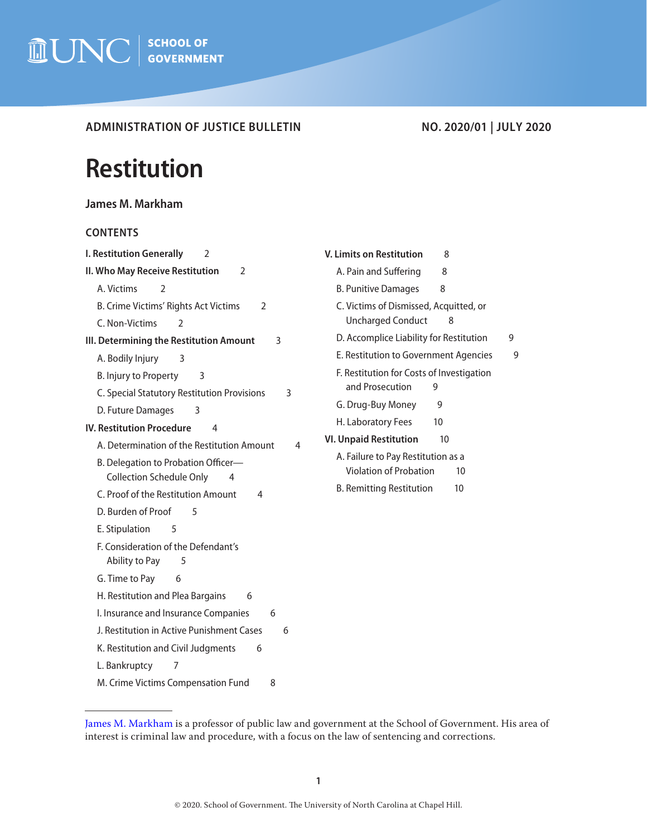

**ADMINISTRATION OF JUSTICE BULLETIN NO. 2020/01 | JULY 2020**

# **Restitution**

| James M. Markham |
|------------------|
|------------------|

# **CONTENTS**

| I. Restitution Generally<br>2                         |
|-------------------------------------------------------|
| II. Who May Receive Restitution<br>$\overline{2}$     |
| A. Victims<br>$\mathfrak{D}$                          |
| B. Crime Victims' Rights Act Victims<br>$\mathcal{L}$ |
| C. Non-Victims<br>$\mathfrak{D}$                      |
| III. Determining the Restitution Amount<br>3          |
| A. Bodily Injury<br>3                                 |
| B. Injury to Property<br>3                            |
| C. Special Statutory Restitution Provisions<br>3      |
| D. Future Damages<br>3                                |
| <b>IV. Restitution Procedure</b><br>4                 |
| A. Determination of the Restitution Amount<br>4       |
| B. Delegation to Probation Officer-                   |
| <b>Collection Schedule Only</b><br>4                  |
| C. Proof of the Restitution Amount<br>4               |
| D. Burden of Proof<br>5                               |
| E. Stipulation<br>5                                   |
| F. Consideration of the Defendant's                   |
| Ability to Pay<br>5                                   |
| G. Time to Pay<br>6                                   |
| H. Restitution and Plea Bargains<br>6                 |
| I. Insurance and Insurance Companies<br>6             |
| J. Restitution in Active Punishment Cases<br>6        |
| K. Restitution and Civil Judgments<br>6               |
| L. Bankruptcy<br>7                                    |
| M. Crime Victims Compensation Fund<br>8               |

| <b>V. Limits on Restitution</b><br>8                                      |   |
|---------------------------------------------------------------------------|---|
| A. Pain and Suffering<br>8                                                |   |
| <b>B. Punitive Damages</b><br>8                                           |   |
| C. Victims of Dismissed, Acquitted, or<br>Uncharged Conduct<br>8          |   |
| D. Accomplice Liability for Restitution                                   | 9 |
| E. Restitution to Government Agencies                                     | g |
| F. Restitution for Costs of Investigation<br>and Prosecution<br>9         |   |
| G. Drug-Buy Money<br>9                                                    |   |
| H. Laboratory Fees<br>10                                                  |   |
| <b>VI. Unpaid Restitution</b><br>10                                       |   |
| A. Failure to Pay Restitution as a<br><b>Violation of Probation</b><br>10 |   |
| B. Remitting Restitution<br>10                                            |   |
|                                                                           |   |
|                                                                           |   |
|                                                                           |   |
|                                                                           |   |
|                                                                           |   |

[James M. Markham](https://www.sog.unc.edu/about/faculty-and-staff/james-m-markham) is a professor of public law and government at the School of Government. His area of interest is criminal law and procedure, with a focus on the law of sentencing and corrections.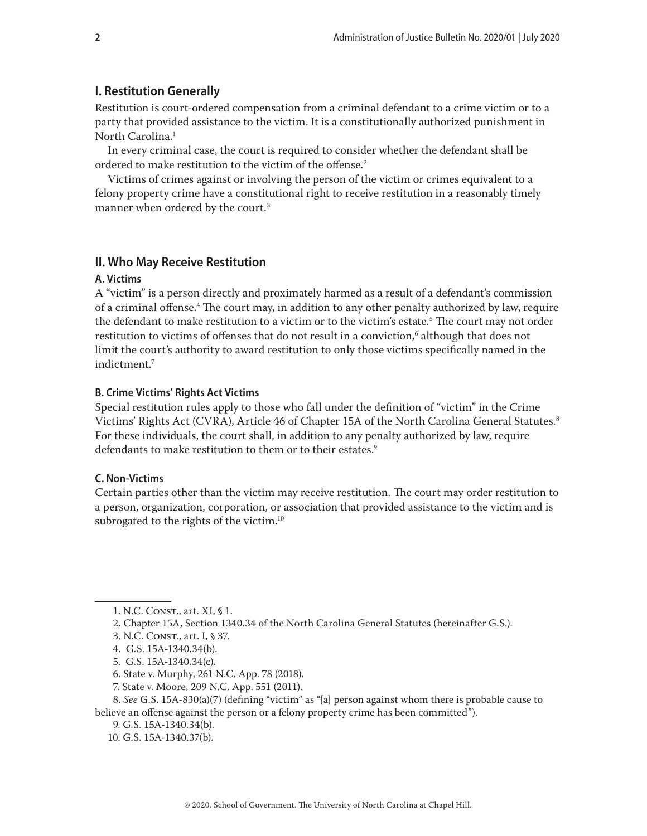# <span id="page-1-0"></span>**I. Restitution Generally**

Restitution is court-ordered compensation from a criminal defendant to a crime victim or to a party that provided assistance to the victim. It is a constitutionally authorized punishment in North Carolina.<sup>1</sup>

In every criminal case, the court is required to consider whether the defendant shall be ordered to make restitution to the victim of the offense.<sup>2</sup>

Victims of crimes against or involving the person of the victim or crimes equivalent to a felony property crime have a constitutional right to receive restitution in a reasonably timely manner when ordered by the court. $3$ 

# **II. Who May Receive Restitution**

### **A. Victims**

A "victim" is a person directly and proximately harmed as a result of a defendant's commission of a criminal offense.<sup>4</sup> The court may, in addition to any other penalty authorized by law, require the defendant to make restitution to a victim or to the victim's estate.5 The court may not order restitution to victims of offenses that do not result in a conviction, $\lq$  although that does not limit the court's authority to award restitution to only those victims specifically named in the indictment.7

#### **B. Crime Victims' Rights Act Victims**

Special restitution rules apply to those who fall under the definition of "victim" in the Crime Victims' Rights Act (CVRA), Article 46 of Chapter 15A of the North Carolina General Statutes.<sup>8</sup> For these individuals, the court shall, in addition to any penalty authorized by law, require defendants to make restitution to them or to their estates.<sup>9</sup>

# **C. Non-Victims**

Certain parties other than the victim may receive restitution. The court may order restitution to a person, organization, corporation, or association that provided assistance to the victim and is subrogated to the rights of the victim.<sup>10</sup>

<sup>1.</sup> N.C. Const., art. XI, § 1.

<sup>2.</sup> Chapter 15A, Section 1340.34 of the North Carolina General Statutes (hereinafter G.S.).

<sup>3.</sup> N.C. Const., art. I, § 37.

<sup>4.</sup> G.S. 15A-1340.34(b).

<sup>5.</sup> G.S. 15A-1340.34(c).

<sup>6.</sup> State v. Murphy, 261 N.C. App. 78 (2018).

<sup>7.</sup> State v. Moore, 209 N.C. App. 551 (2011).

<sup>8.</sup> *See* G.S. 15A-830(a)(7) (defining "victim" as "[a] person against whom there is probable cause to believe an offense against the person or a felony property crime has been committed").

<sup>9.</sup> G.S. 15A-1340.34(b).

<sup>10.</sup> G.S. 15A-1340.37(b).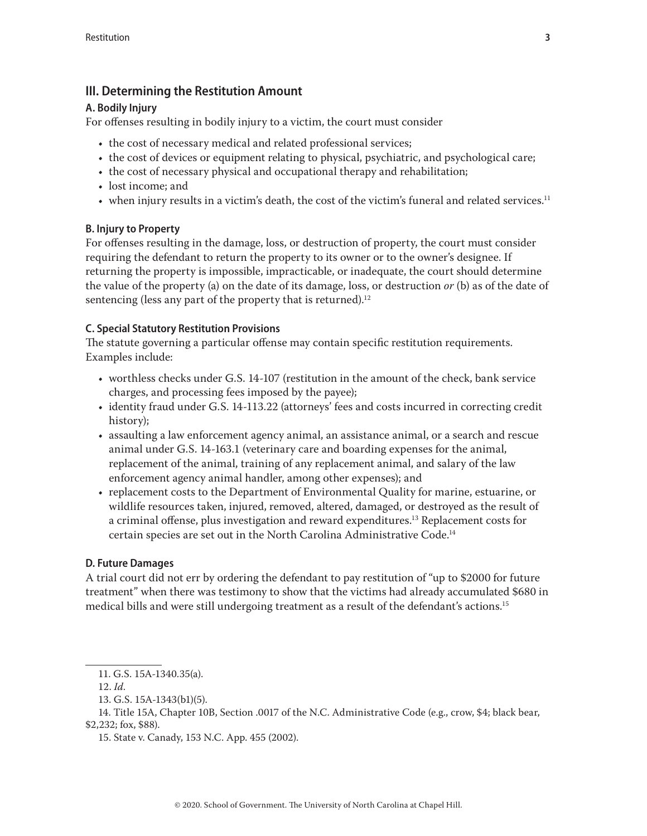# <span id="page-2-0"></span>**III. Determining the Restitution Amount**

# **A. Bodily Injury**

For offenses resulting in bodily injury to a victim, the court must consider

- the cost of necessary medical and related professional services;
- the cost of devices or equipment relating to physical, psychiatric, and psychological care;
- the cost of necessary physical and occupational therapy and rehabilitation;
- lost income; and
- when injury results in a victim's death, the cost of the victim's funeral and related services.<sup>11</sup>

# **B. Injury to Property**

For offenses resulting in the damage, loss, or destruction of property, the court must consider requiring the defendant to return the property to its owner or to the owner's designee. If returning the property is impossible, impracticable, or inadequate, the court should determine the value of the property (a) on the date of its damage, loss, or destruction *or* (b) as of the date of sentencing (less any part of the property that is returned). $12$ 

# **C. Special Statutory Restitution Provisions**

The statute governing a particular offense may contain specific restitution requirements. Examples include:

- worthless checks under G.S. 14-107 (restitution in the amount of the check, bank service charges, and processing fees imposed by the payee);
- identity fraud under G.S. 14-113.22 (attorneys' fees and costs incurred in correcting credit history);
- assaulting a law enforcement agency animal, an assistance animal, or a search and rescue animal under G.S. 14-163.1 (veterinary care and boarding expenses for the animal, replacement of the animal, training of any replacement animal, and salary of the law enforcement agency animal handler, among other expenses); and
- replacement costs to the Department of Environmental Quality for marine, estuarine, or wildlife resources taken, injured, removed, altered, damaged, or destroyed as the result of a criminal offense, plus investigation and reward expenditures.13 Replacement costs for certain species are set out in the North Carolina Administrative Code.14

# **D. Future Damages**

A trial court did not err by ordering the defendant to pay restitution of "up to \$2000 for future treatment" when there was testimony to show that the victims had already accumulated \$680 in medical bills and were still undergoing treatment as a result of the defendant's actions.15

14. Title 15A, Chapter 10B, Section .0017 of the N.C. Administrative Code (e.g., crow, \$4; black bear, \$2,232; fox, \$88).

15. State v. Canady, 153 N.C. App. 455 (2002).

<sup>11.</sup> G.S. 15A-1340.35(a).

<sup>12.</sup> *Id*.

<sup>13.</sup> G.S. 15A-1343(b1)(5).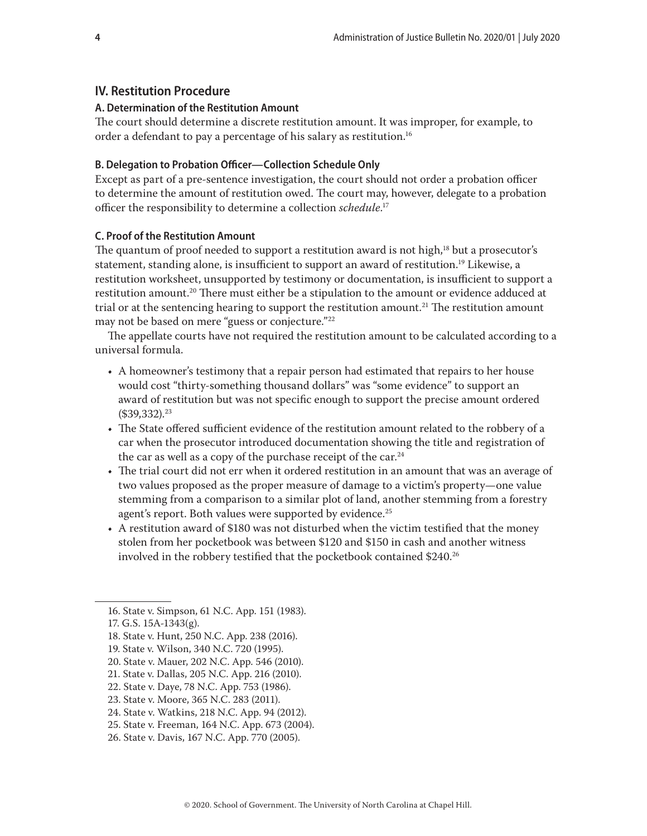# <span id="page-3-0"></span>**IV. Restitution Procedure**

#### **A. Determination of the Restitution Amount**

The court should determine a discrete restitution amount. It was improper, for example, to order a defendant to pay a percentage of his salary as restitution.<sup>16</sup>

#### **B. Delegation to Probation Officer—Collection Schedule Only**

Except as part of a pre-sentence investigation, the court should not order a probation officer to determine the amount of restitution owed. The court may, however, delegate to a probation officer the responsibility to determine a collection *schedule*. 17

# **C. Proof of the Restitution Amount**

The quantum of proof needed to support a restitution award is not high,<sup>18</sup> but a prosecutor's statement, standing alone, is insufficient to support an award of restitution.<sup>19</sup> Likewise, a restitution worksheet, unsupported by testimony or documentation, is insufficient to support a restitution amount.<sup>20</sup> There must either be a stipulation to the amount or evidence adduced at trial or at the sentencing hearing to support the restitution amount.<sup>21</sup> The restitution amount may not be based on mere "guess or conjecture."22

The appellate courts have not required the restitution amount to be calculated according to a universal formula.

- A homeowner's testimony that a repair person had estimated that repairs to her house would cost "thirty-something thousand dollars" was "some evidence" to support an award of restitution but was not specific enough to support the precise amount ordered  $($39,332).^{23}$
- The State offered sufficient evidence of the restitution amount related to the robbery of a car when the prosecutor introduced documentation showing the title and registration of the car as well as a copy of the purchase receipt of the car.<sup>24</sup>
- The trial court did not err when it ordered restitution in an amount that was an average of two values proposed as the proper measure of damage to a victim's property—one value stemming from a comparison to a similar plot of land, another stemming from a forestry agent's report. Both values were supported by evidence.<sup>25</sup>
- A restitution award of \$180 was not disturbed when the victim testified that the money stolen from her pocketbook was between \$120 and \$150 in cash and another witness involved in the robbery testified that the pocketbook contained \$240.26

<sup>16.</sup> State v. Simpson, 61 N.C. App. 151 (1983).

<sup>17.</sup> G.S. 15A-1343(g).

<sup>18.</sup> State v. Hunt, 250 N.C. App. 238 (2016).

<sup>19.</sup> State v. Wilson, 340 N.C. 720 (1995).

<sup>20.</sup> State v. Mauer, 202 N.C. App. 546 (2010).

<sup>21.</sup> State v. Dallas, 205 N.C. App. 216 (2010).

<sup>22.</sup> State v. Daye, 78 N.C. App. 753 (1986).

<sup>23.</sup> State v. Moore, 365 N.C. 283 (2011).

<sup>24.</sup> State v. Watkins, 218 N.C. App. 94 (2012).

<sup>25.</sup> State v. Freeman, 164 N.C. App. 673 (2004).

<sup>26.</sup> State v. Davis, 167 N.C. App. 770 (2005).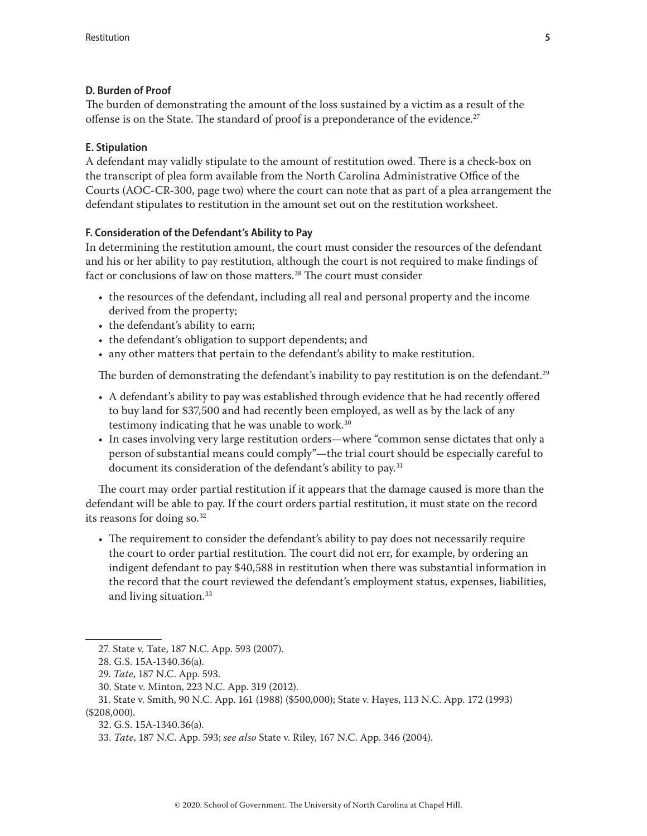# <span id="page-4-0"></span>**D. Burden of Proof**

The burden of demonstrating the amount of the loss sustained by a victim as a result of the offense is on the State. The standard of proof is a preponderance of the evidence.<sup>27</sup>

# **E. Stipulation**

A defendant may validly stipulate to the amount of restitution owed. There is a check-box on the transcript of plea form available from the North Carolina Administrative Office of the Courts (AOC-CR-300, page two) where the court can note that as part of a plea arrangement the defendant stipulates to restitution in the amount set out on the restitution worksheet.

# **F. Consideration of the Defendant's Ability to Pay**

In determining the restitution amount, the court must consider the resources of the defendant and his or her ability to pay restitution, although the court is not required to make findings of fact or conclusions of law on those matters.<sup>28</sup> The court must consider

- the resources of the defendant, including all real and personal property and the income derived from the property;
- the defendant's ability to earn;
- the defendant's obligation to support dependents; and
- any other matters that pertain to the defendant's ability to make restitution.

The burden of demonstrating the defendant's inability to pay restitution is on the defendant.<sup>29</sup>

- A defendant's ability to pay was established through evidence that he had recently offered to buy land for \$37,500 and had recently been employed, as well as by the lack of any testimony indicating that he was unable to work.30
- In cases involving very large restitution orders—where "common sense dictates that only a person of substantial means could comply"—the trial court should be especially careful to document its consideration of the defendant's ability to pay.<sup>31</sup>

The court may order partial restitution if it appears that the damage caused is more than the defendant will be able to pay. If the court orders partial restitution, it must state on the record its reasons for doing so. $32$ 

• The requirement to consider the defendant's ability to pay does not necessarily require the court to order partial restitution. The court did not err, for example, by ordering an indigent defendant to pay \$40,588 in restitution when there was substantial information in the record that the court reviewed the defendant's employment status, expenses, liabilities, and living situation.<sup>33</sup>

32. G.S. 15A-1340.36(a).

<sup>27.</sup> State v. Tate, 187 N.C. App. 593 (2007).

<sup>28.</sup> G.S. 15A-1340.36(a).

<sup>29.</sup> *Tate*, 187 N.C. App. 593.

<sup>30.</sup> State v. Minton, 223 N.C. App. 319 (2012).

<sup>31.</sup> State v. Smith, 90 N.C. App. 161 (1988) (\$500,000); State v. Hayes, 113 N.C. App. 172 (1993) (\$208,000).

<sup>33.</sup> *Tate*, 187 N.C. App. 593; *see also* State v. Riley, 167 N.C. App. 346 (2004).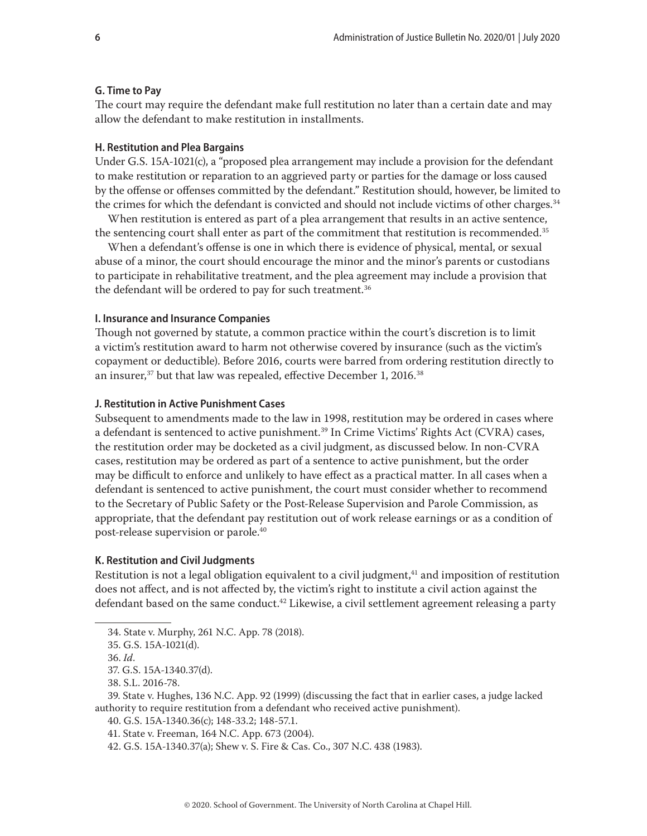#### <span id="page-5-0"></span>**G. Time to Pay**

The court may require the defendant make full restitution no later than a certain date and may allow the defendant to make restitution in installments.

#### **H. Restitution and Plea Bargains**

Under [G.S. 15A-1021\(c\),](http://www.ncleg.net/EnactedLegislation/Statutes/HTML/BySection/Chapter_15A/GS_15A-1021.html) a "proposed plea arrangement may include a provision for the defendant to make restitution or reparation to an aggrieved party or parties for the damage or loss caused by the offense or offenses committed by the defendant." Restitution should, however, be limited to the crimes for which the defendant is convicted and should not include victims of other charges.<sup>34</sup>

When restitution is entered as part of a plea arrangement that results in an active sentence, the sentencing court shall enter as part of the commitment that restitution is recommended.<sup>35</sup>

When a defendant's offense is one in which there is evidence of physical, mental, or sexual abuse of a minor, the court should encourage the minor and the minor's parents or custodians to participate in rehabilitative treatment, and the plea agreement may include a provision that the defendant will be ordered to pay for such treatment.<sup>36</sup>

#### **I. Insurance and Insurance Companies**

Though not governed by statute, a common practice within the court's discretion is to limit a victim's restitution award to harm not otherwise covered by insurance (such as the victim's copayment or deductible). Before 2016, courts were barred from ordering restitution directly to an insurer, $37$  but that law was repealed, effective December 1, 2016. $38$ 

#### **J. Restitution in Active Punishment Cases**

Subsequent to amendments made to the law in 1998, restitution may be ordered in cases where a defendant is sentenced to active punishment.<sup>39</sup> In Crime Victims' Rights Act (CVRA) cases, the restitution order may be docketed as a civil judgment, as discussed below. In non-CVRA cases, restitution may be ordered as part of a sentence to active punishment, but the order may be difficult to enforce and unlikely to have effect as a practical matter. In all cases when a defendant is sentenced to active punishment, the court must consider whether to recommend to the Secretary of Public Safety or the Post-Release Supervision and Parole Commission, as appropriate, that the defendant pay restitution out of work release earnings or as a condition of post-release supervision or parole.40

#### **K. Restitution and Civil Judgments**

Restitution is not a legal obligation equivalent to a civil judgment,<sup>41</sup> and imposition of restitution does not affect, and is not affected by, the victim's right to institute a civil action against the defendant based on the same conduct.<sup>42</sup> Likewise, a civil settlement agreement releasing a party

37. G.S. 15A-1340.37(d).

39. State v. Hughes, 136 N.C. App. 92 (1999) (discussing the fact that in earlier cases, a judge lacked authority to require restitution from a defendant who received active punishment).

40. G.S. 15A-1340.36(c); 148-33.2; 148-57.1.

<sup>34.</sup> State v. Murphy, 261 N.C. App. 78 (2018).

<sup>35.</sup> G.S. 15A-1021(d).

<sup>36.</sup> *Id*.

<sup>38.</sup> S.L. 2016-78.

<sup>41.</sup> State v. Freeman, 164 N.C. App. 673 (2004).

<sup>42.</sup> G.S. 15A-1340.37(a); Shew v. S. Fire & Cas. Co., 307 N.C. 438 (1983).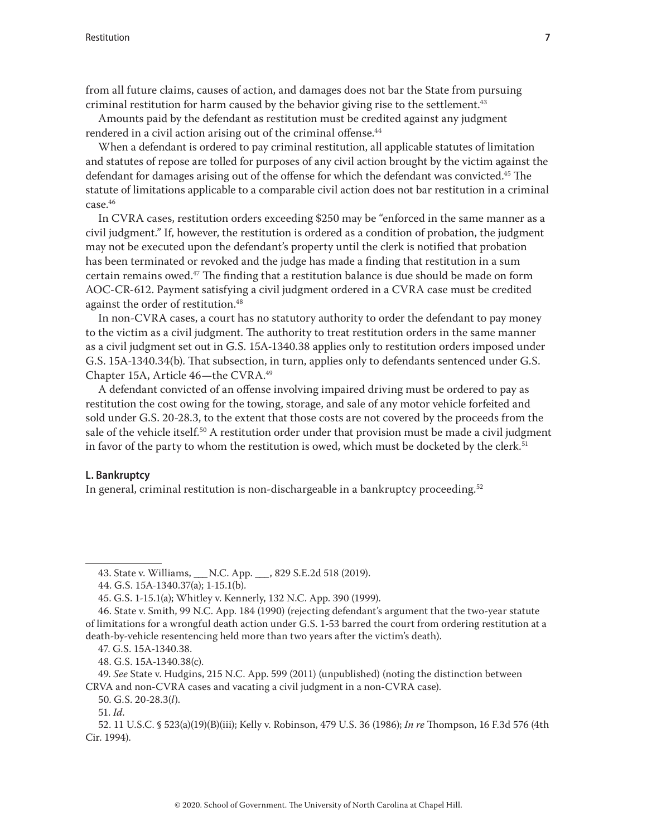<span id="page-6-0"></span>from all future claims, causes of action, and damages does not bar the State from pursuing criminal restitution for harm caused by the behavior giving rise to the settlement.<sup>43</sup>

Amounts paid by the defendant as restitution must be credited against any judgment rendered in a civil action arising out of the criminal offense.<sup>44</sup>

When a defendant is ordered to pay criminal restitution, all applicable statutes of limitation and statutes of repose are tolled for purposes of any civil action brought by the victim against the defendant for damages arising out of the offense for which the defendant was convicted.<sup>45</sup> The statute of limitations applicable to a comparable civil action does not bar restitution in a criminal case.46

In CVRA cases, restitution orders exceeding \$250 may be "enforced in the same manner as a civil judgment." If, however, the restitution is ordered as a condition of probation, the judgment may not be executed upon the defendant's property until the clerk is notified that probation has been terminated or revoked and the judge has made a finding that restitution in a sum certain remains owed. $47$  The finding that a restitution balance is due should be made on form AOC-CR-612. Payment satisfying a civil judgment ordered in a CVRA case must be credited against the order of restitution.<sup>48</sup>

In non-CVRA cases, a court has no statutory authority to order the defendant to pay money to the victim as a civil judgment. The authority to treat restitution orders in the same manner as a civil judgment set out in G.S. 15A-1340.38 applies only to restitution orders imposed under G.S. 15A-1340.34(b). That subsection, in turn, applies only to defendants sentenced under G.S. Chapter 15A, Article 46—the CVRA.<sup>49</sup>

A defendant convicted of an offense involving impaired driving must be ordered to pay as restitution the cost owing for the towing, storage, and sale of any motor vehicle forfeited and sold under G.S. 20-28.3, to the extent that those costs are not covered by the proceeds from the sale of the vehicle itself.<sup>50</sup> A restitution order under that provision must be made a civil judgment in favor of the party to whom the restitution is owed, which must be docketed by the clerk.<sup>51</sup>

# **L. Bankruptcy**

In general, criminal restitution is non-dischargeable in a bankruptcy proceeding.<sup>52</sup>

<sup>43.</sup> State v. Williams, \_\_\_ N.C. App. \_\_\_, 829 S.E.2d 518 (2019).

<sup>44.</sup> G.S. 15A-1340.37(a); 1-15.1(b).

<sup>45.</sup> G.S. 1-15.1(a); Whitley v. Kennerly, 132 N.C. App. 390 (1999).

<sup>46.</sup> State v. Smith, 99 N.C. App. 184 (1990) (rejecting defendant's argument that the two-year statute of limitations for a wrongful death action under G.S. 1-53 barred the court from ordering restitution at a death-by-vehicle resentencing held more than two years after the victim's death).

<sup>47.</sup> G.S. 15A-1340.38.

<sup>48.</sup> G.S. 15A-1340.38(c).

<sup>49.</sup> *See* State v. Hudgins, 215 N.C. App. 599 (2011) (unpublished) (noting the distinction between CRVA and non-CVRA cases and vacating a civil judgment in a non-CVRA case).

<sup>50.</sup> G.S. 20-28.3(*l*).

<sup>51.</sup> *Id*.

<sup>52. 11</sup> U.S.C. § 523(a)(19)(B)(iii); Kelly v. Robinson, 479 U.S. 36 (1986); *In re* Thompson, 16 F.3d 576 (4th Cir. 1994).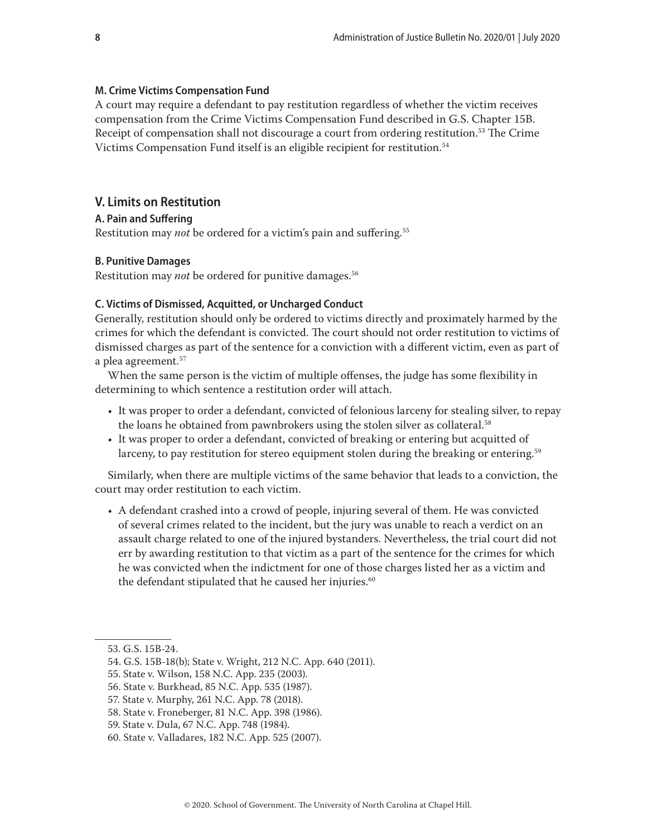#### <span id="page-7-0"></span>**M. Crime Victims Compensation Fund**

A court may require a defendant to pay restitution regardless of whether the victim receives compensation from the Crime Victims Compensation Fund described in G.S. Chapter 15B. Receipt of compensation shall not discourage a court from ordering restitution.<sup>53</sup> The Crime Victims Compensation Fund itself is an eligible recipient for restitution.<sup>54</sup>

# **V. Limits on Restitution**

#### **A. Pain and Suffering**

Restitution may *not* be ordered for a victim's pain and suffering.<sup>55</sup>

#### **B. Punitive Damages**

Restitution may *not* be ordered for punitive damages.<sup>56</sup>

### **C. Victims of Dismissed, Acquitted, or Uncharged Conduct**

Generally, restitution should only be ordered to victims directly and proximately harmed by the crimes for which the defendant is convicted. The court should not order restitution to victims of dismissed charges as part of the sentence for a conviction with a different victim, even as part of a plea agreement.57

When the same person is the victim of multiple offenses, the judge has some flexibility in determining to which sentence a restitution order will attach.

- It was proper to order a defendant, convicted of felonious larceny for stealing silver, to repay the loans he obtained from pawnbrokers using the stolen silver as collateral.58
- It was proper to order a defendant, convicted of breaking or entering but acquitted of larceny, to pay restitution for stereo equipment stolen during the breaking or entering.<sup>59</sup>

Similarly, when there are multiple victims of the same behavior that leads to a conviction, the court may order restitution to each victim.

• A defendant crashed into a crowd of people, injuring several of them. He was convicted of several crimes related to the incident, but the jury was unable to reach a verdict on an assault charge related to one of the injured bystanders. Nevertheless, the trial court did not err by awarding restitution to that victim as a part of the sentence for the crimes for which he was convicted when the indictment for one of those charges listed her as a victim and the defendant stipulated that he caused her injuries.<sup>60</sup>

<sup>53.</sup> G.S. 15B-24.

<sup>54.</sup> G.S. 15B-18(b); State v. Wright, 212 N.C. App. 640 (2011).

<sup>55.</sup> State v. Wilson, 158 N.C. App. 235 (2003).

<sup>56.</sup> State v. Burkhead, 85 N.C. App. 535 (1987).

<sup>57.</sup> State v. Murphy, 261 N.C. App. 78 (2018).

<sup>58.</sup> State v. Froneberger, 81 N.C. App. 398 (1986).

<sup>59.</sup> State v. Dula, 67 N.C. App. 748 (1984).

<sup>60.</sup> State v. Valladares, 182 N.C. App. 525 (2007).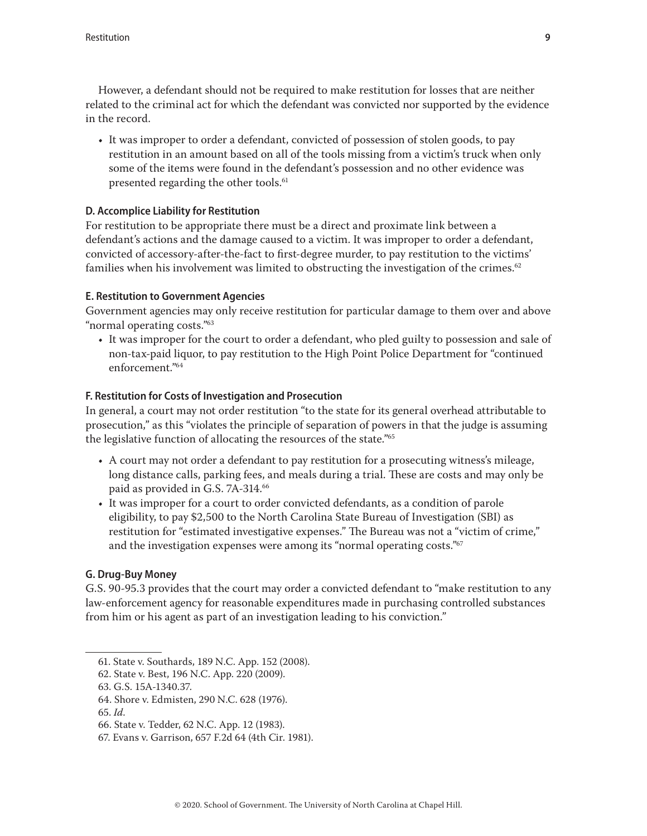<span id="page-8-0"></span>However, a defendant should not be required to make restitution for losses that are neither related to the criminal act for which the defendant was convicted nor supported by the evidence in the record.

• It was improper to order a defendant, convicted of possession of stolen goods, to pay restitution in an amount based on all of the tools missing from a victim's truck when only some of the items were found in the defendant's possession and no other evidence was presented regarding the other tools.<sup>61</sup>

# **D. Accomplice Liability for Restitution**

For restitution to be appropriate there must be a direct and proximate link between a defendant's actions and the damage caused to a victim. It was improper to order a defendant, convicted of accessory-after-the-fact to first-degree murder, to pay restitution to the victims' families when his involvement was limited to obstructing the investigation of the crimes.<sup>62</sup>

# **E. Restitution to Government Agencies**

Government agencies may only receive restitution for particular damage to them over and above "normal operating costs."<sup>63</sup>

• It was improper for the court to order a defendant, who pled guilty to possession and sale of non-tax-paid liquor, to pay restitution to the High Point Police Department for "continued enforcement."64

# **F. Restitution for Costs of Investigation and Prosecution**

In general, a court may not order restitution "to the state for its general overhead attributable to prosecution," as this "violates the principle of separation of powers in that the judge is assuming the legislative function of allocating the resources of the state."65

- A court may not order a defendant to pay restitution for a prosecuting witness's mileage, long distance calls, parking fees, and meals during a trial. These are costs and may only be paid as provided in G.S. 7A-314.<sup>66</sup>
- It was improper for a court to order convicted defendants, as a condition of parole eligibility, to pay \$2,500 to the North Carolina State Bureau of Investigation (SBI) as restitution for "estimated investigative expenses." The Bureau was not a "victim of crime," and the investigation expenses were among its "normal operating costs."<sup>67</sup>

# **G. Drug-Buy Money**

G.S. 90-95.3 provides that the court may order a convicted defendant to "make restitution to any law-enforcement agency for reasonable expenditures made in purchasing controlled substances from him or his agent as part of an investigation leading to his conviction."

<sup>61.</sup> State v. Southards, 189 N.C. App. 152 (2008).

<sup>62.</sup> State v. Best, 196 N.C. App. 220 (2009).

<sup>63.</sup> G.S. 15A-1340.37.

<sup>64.</sup> Shore v. Edmisten, 290 N.C. 628 (1976).

<sup>65.</sup> *Id*.

<sup>66.</sup> State v. Tedder, 62 N.C. App. 12 (1983).

<sup>67.</sup> Evans v. Garrison, 657 F.2d 64 (4th Cir. 1981).